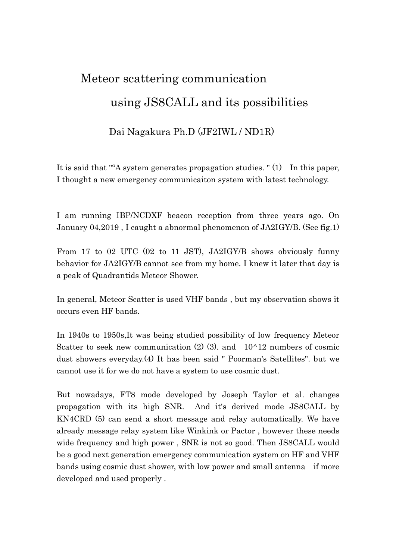# Meteor scattering communication using JS8CALL and its possibilities

## Dai Nagakura Ph.D (JF2IWL / ND1R)

It is said that ""A system generates propagation studies. " (1) In this paper, I thought a new emergency communicaiton system with latest technology.

I am running IBP/NCDXF beacon reception from three years ago. On January 04,2019 , I caught a abnormal phenomenon of JA2IGY/B. (See fig.1)

From 17 to 02 UTC (02 to 11 JST), JA2IGY/B shows obviously funny behavior for JA2IGY/B cannot see from my home. I knew it later that day is a peak of Quadrantids Meteor Shower.

In general, Meteor Scatter is used VHF bands , but my observation shows it occurs even HF bands.

In 1940s to 1950s,It was being studied possibility of low frequency Meteor Scatter to seek new communication  $(2)$   $(3)$ , and  $10^{\wedge}12$  numbers of cosmic dust showers everyday.(4) It has been said " Poorman's Satellites". but we cannot use it for we do not have a system to use cosmic dust.

But nowadays, FT8 mode developed by Joseph Taylor et al. changes propagation with its high SNR. And it's derived mode JS8CALL by KN4CRD (5) can send a short message and relay automatically. We have already message relay system like Winkink or Pactor , however these needs wide frequency and high power , SNR is not so good. Then JS8CALL would be a good next generation emergency communication system on HF and VHF bands using cosmic dust shower, with low power and small antenna if more developed and used properly .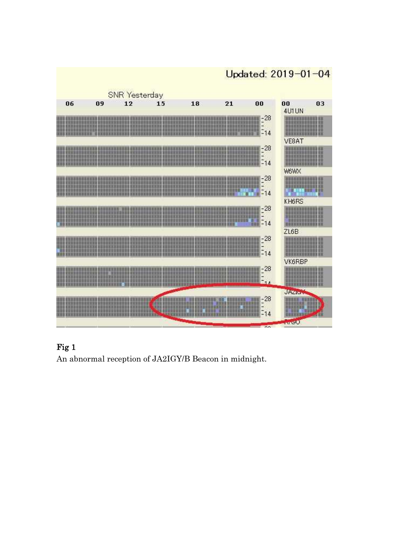

## Fig 1

An abnormal reception of JA2IGY/B Beacon in midnight.